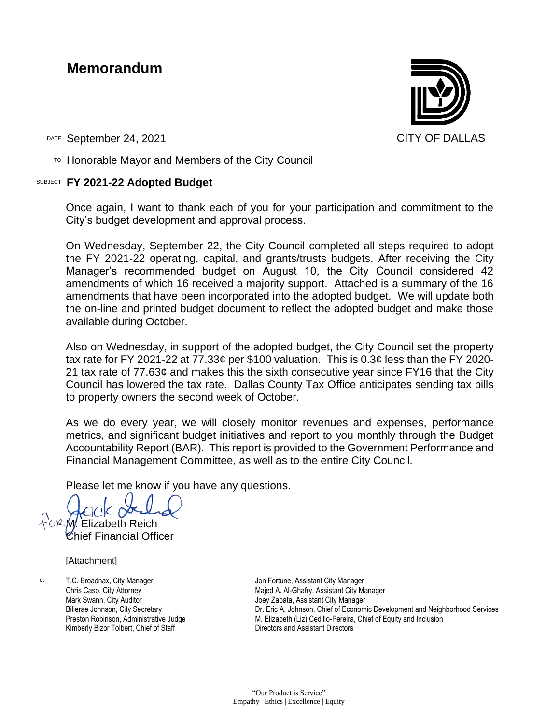### **Memorandum**



DATE September 24, 2021 CITY OF DALLAS

 $T$ <sup>O</sup> Honorable Mayor and Members of the City Council

#### SUBJECT **FY 2021-22 Adopted Budget**

Once again, I want to thank each of you for your participation and commitment to the City's budget development and approval process.

On Wednesday, September 22, the City Council completed all steps required to adopt the FY 2021-22 operating, capital, and grants/trusts budgets. After receiving the City Manager's recommended budget on August 10, the City Council considered 42 amendments of which 16 received a majority support. Attached is a summary of the 16 amendments that have been incorporated into the adopted budget. We will update both the on-line and printed budget document to reflect the adopted budget and make those available during October.

Also on Wednesday, in support of the adopted budget, the City Council set the property tax rate for FY 2021-22 at 77.33¢ per \$100 valuation. This is 0.3¢ less than the FY 2020- 21 tax rate of 77.63¢ and makes this the sixth consecutive year since FY16 that the City Council has lowered the tax rate. Dallas County Tax Office anticipates sending tax bills to property owners the second week of October.

As we do every year, we will closely monitor revenues and expenses, performance metrics, and significant budget initiatives and report to you monthly through the Budget Accountability Report (BAR). This report is provided to the Government Performance and Financial Management Committee, as well as to the entire City Council.

Please let me know if you have any questions.

M. Elizabeth Reich

Chief Financial Officer

[Attachment]

c: T.C. Broadnax, City Manager Chris Caso, City Attorney Mark Swann, City Auditor Bilierae Johnson, City Secretary Preston Robinson, Administrative Judge Kimberly Bizor Tolbert, Chief of Staff

Jon Fortune, Assistant City Manager Majed A. Al-Ghafry, Assistant City Manager Joey Zapata, Assistant City Manager Dr. Eric A. Johnson, Chief of Economic Development and Neighborhood Services M. Elizabeth (Liz) Cedillo-Pereira, Chief of Equity and Inclusion Directors and Assistant Directors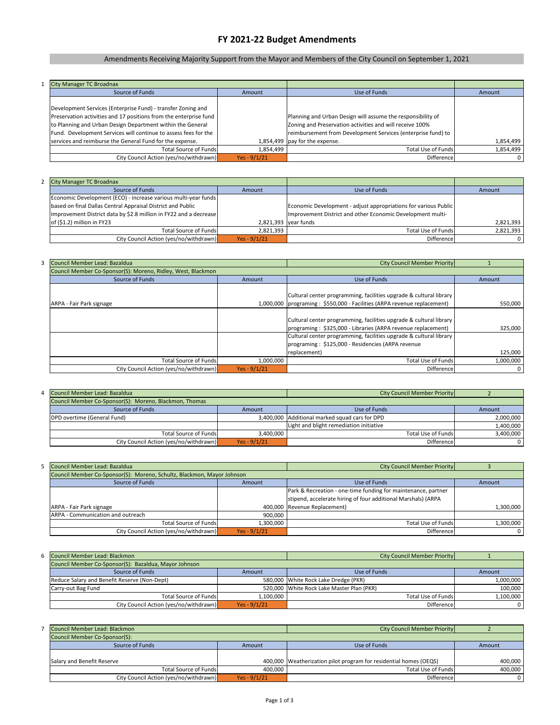| <b>City Manager TC Broadnax</b>                                   |                |                                                              |           |
|-------------------------------------------------------------------|----------------|--------------------------------------------------------------|-----------|
| Source of Funds                                                   | Amount         | Use of Funds                                                 | Amount    |
|                                                                   |                |                                                              |           |
| Development Services (Enterprise Fund) - transfer Zoning and      |                |                                                              |           |
| Preservation activities and 17 positions from the enterprise fund |                | Planning and Urban Design will assume the responsibility of  |           |
| to Planning and Urban Design Department within the General        |                | Zoning and Preservation activities and will receive 100%     |           |
| Fund. Development Services will continue to assess fees for the   |                | reimbursement from Development Services (enterprise fund) to |           |
| services and reimburse the General Fund for the expense.          |                | 1,854,499 $\vert$ pay for the expense.                       | 1,854,499 |
| <b>Total Source of Funds</b>                                      | 1,854,499      | Total Use of Funds                                           | 1,854,499 |
| City Council Action (yes/no/withdrawn)                            | Yes - $9/1/21$ | Difference                                                   |           |

| 2 City Manager TC Broadnax                                        |                |                                                                 |           |
|-------------------------------------------------------------------|----------------|-----------------------------------------------------------------|-----------|
| Source of Funds                                                   | Amount         | Use of Funds                                                    | Amount    |
| Economic Development (ECO) - increase various multi-year funds    |                |                                                                 |           |
| based on final Dallas Central Appraisal District and Public       |                | Economic Development - adjust appropriations for various Public |           |
| Improvement District data by \$2.8 million in FY22 and a decrease |                | Improvement District and other Economic Development multi-      |           |
| of $(51.2)$ million in FY23                                       |                | $2,821,393$ year funds                                          | 2,821,393 |
| Total Source of Funds                                             | 2,821,393      | Total Use of Funds                                              | 2,821,393 |
| City Council Action (yes/no/withdrawn)                            | Yes - $9/1/21$ | <b>Difference</b>                                               |           |

| Council Member Lead: Bazaldua                                |                | City Council Member Priority                                            |           |
|--------------------------------------------------------------|----------------|-------------------------------------------------------------------------|-----------|
| Council Member Co-Sponsor(S): Moreno, Ridley, West, Blackmon |                |                                                                         |           |
| Source of Funds                                              | Amount         | Use of Funds                                                            | Amount    |
|                                                              |                |                                                                         |           |
|                                                              |                | Cultural center programming, facilities upgrade & cultural library      |           |
| ARPA - Fair Park signage                                     |                | 1,000,000 programing: \$550,000 - Facilities (ARPA revenue replacement) | 550,000   |
|                                                              |                |                                                                         |           |
|                                                              |                | Cultural center programming, facilities upgrade & cultural library      |           |
|                                                              |                | programing: \$325,000 - Libraries (ARPA revenue replacement)            | 325,000   |
|                                                              |                | Cultural center programming, facilities upgrade & cultural library      |           |
|                                                              |                | programing: \$125,000 - Residencies (ARPA revenue                       |           |
|                                                              |                | replacement)                                                            | 125,000   |
| <b>Total Source of Funds</b>                                 | 1,000,000      | Total Use of Funds                                                      | 1,000,000 |
| City Council Action (yes/no/withdrawn)                       | Yes - $9/1/21$ | Difference                                                              | 0         |

| 4 Council Member Lead: Bazaldua                        |                | City Council Member Priority                   |           |
|--------------------------------------------------------|----------------|------------------------------------------------|-----------|
| Council Member Co-Sponsor(S): Moreno, Blackmon, Thomas |                |                                                |           |
| Source of Funds                                        | Amount         | Use of Funds                                   | Amount    |
| <b>DPD overtime (General Fund)</b>                     |                | 3,400,000 Additional marked squad cars for DPD | 2,000,000 |
|                                                        |                | Light and blight remediation initiative        | 1,400,000 |
| <b>Total Source of Funds</b>                           | 3,400,000      | Total Use of Funds                             | 3,400,000 |
| City Council Action (yes/no/withdrawn)                 | Yes - $9/1/21$ | Difference                                     |           |

| 5 Council Member Lead: Bazaldua                                        |                | City Council Member Priority                                  |                |
|------------------------------------------------------------------------|----------------|---------------------------------------------------------------|----------------|
| Council Member Co-Sponsor(S): Moreno, Schultz, Blackmon, Mayor Johnson |                |                                                               |                |
| Source of Funds                                                        | Amount         | Use of Funds                                                  | Amount         |
|                                                                        |                | Park & Recreation - one-time funding for maintenance, partner |                |
|                                                                        |                | stipend, accelerate hiring of four additional Marshals) (ARPA |                |
| ARPA - Fair Park signage                                               |                | 400,000 Revenue Replacement)                                  | 1,300,000      |
| ARPA - Communication and outreach                                      | 900,000        |                                                               |                |
| Total Source of Funds                                                  | 1,300,000      | Total Use of Funds                                            | 1,300,000      |
| City Council Action (yes/no/withdrawn)                                 | Yes - $9/1/21$ | Difference                                                    | 0 <sup>1</sup> |

| Council Member Lead: Blackmon          |                | City Council Member Priority                                        |         |
|----------------------------------------|----------------|---------------------------------------------------------------------|---------|
| Council Member Co-Sponsor(S):          |                |                                                                     |         |
| Source of Funds                        | Amount         | Use of Funds                                                        | Amount  |
|                                        |                |                                                                     |         |
| Salary and Benefit Reserve             |                | 400,000   Weatherization pilot program for residential homes (OEQS) | 400,000 |
| Total Source of Funds                  | 400,000        | Total Use of Funds                                                  | 400,000 |
| City Council Action (yes/no/withdrawn) | Yes - $9/1/21$ | <b>Difference</b>                                                   |         |

| 6 Council Member Lead: Blackmon                       |                | City Council Member Priority              |                |
|-------------------------------------------------------|----------------|-------------------------------------------|----------------|
| Council Member Co-Sponsor(S): Bazaldua, Mayor Johnson |                |                                           |                |
| Source of Funds                                       | Amount         | Use of Funds                              | Amount         |
| Reduce Salary and Benefit Reserve (Non-Dept)          |                | 580,000 White Rock Lake Dredge (PKR)      | 1,000,000      |
| Carry-out Bag Fund                                    |                | 520,000 White Rock Lake Master Plan (PKR) | 100,000        |
| Total Source of Funds                                 | 1,100,000      | Total Use of Funds                        | 1,100,000      |
| City Council Action (yes/no/withdrawn)                | Yes - $9/1/21$ | <b>Difference</b>                         | $\overline{0}$ |

# **FY 2021-22 Budget Amendments**

# Amendments Receiving Majority Support from the Mayor and Members of the City Council on September 1, 2021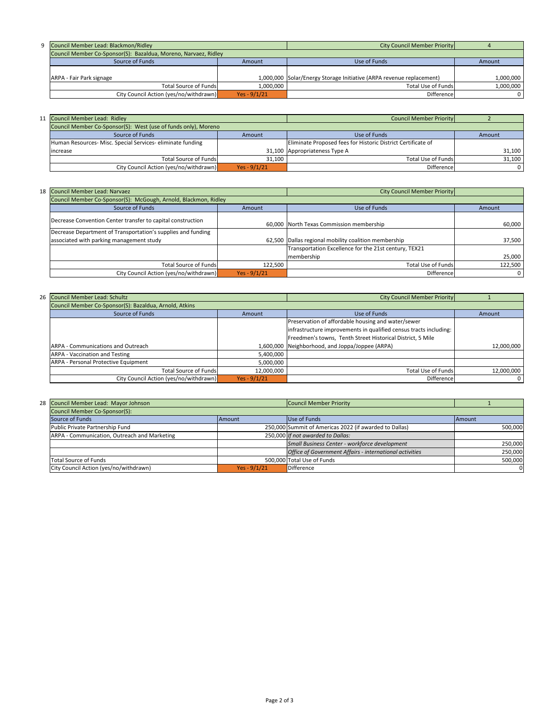| 9 Council Member Lead: Blackmon/Ridley                          |                | City Council Member Priority                                         |           |
|-----------------------------------------------------------------|----------------|----------------------------------------------------------------------|-----------|
| Council Member Co-Sponsor(S): Bazaldua, Moreno, Narvaez, Ridley |                |                                                                      |           |
| Source of Funds                                                 | Amount         | Use of Funds                                                         | Amount    |
|                                                                 |                |                                                                      |           |
| ARPA - Fair Park signage                                        |                | 1,000,000 Solar/Energy Storage Initiative (ARPA revenue replacement) | 1,000,000 |
| <b>Total Source of Funds</b>                                    | 1,000,000      | Total Use of Funds                                                   | 1,000,000 |
| City Council Action (yes/no/withdrawn)                          | Yes - $9/1/21$ | Difference                                                           |           |

| 11 Council Member Lead: Ridley                                 |                | Council Member Priority                                      |        |
|----------------------------------------------------------------|----------------|--------------------------------------------------------------|--------|
| Council Member Co-Sponsor(S): West (use of funds only), Moreno |                |                                                              |        |
| Source of Funds                                                | Amount         | Use of Funds                                                 | Amount |
| Human Resources- Misc. Special Services- eliminate funding     |                | Eliminate Proposed fees for Historic District Certificate of |        |
| lincrease                                                      |                | 31,100 Appropriateness Type A                                | 31,100 |
| Total Source of Funds                                          | 31,100         | Total Use of Funds                                           | 31,100 |
| City Council Action (yes/no/withdrawn)                         | Yes - $9/1/21$ | Difference                                                   |        |

| 18 Council Member Lead: Narvaez                                 |                | City Council Member Priority                          |         |
|-----------------------------------------------------------------|----------------|-------------------------------------------------------|---------|
| Council Member Co-Sponsor(S): McGough, Arnold, Blackmon, Ridley |                |                                                       |         |
| Source of Funds                                                 | Amount         | Use of Funds                                          | Amount  |
| Decrease Convention Center transfer to capital construction     |                | 60,000 North Texas Commission membership              | 60,000  |
| Decrease Department of Transportation's supplies and funding    |                |                                                       |         |
| associated with parking management study                        |                | 62,500 Dallas regional mobility coalition membership  | 37,500  |
|                                                                 |                | Transportation Excellence for the 21st century, TEX21 |         |
|                                                                 |                | membership                                            | 25,000  |
| Total Source of Funds                                           | 122,500        | Total Use of Funds                                    | 122,500 |
| City Council Action (yes/no/withdrawn)                          | Yes - $9/1/21$ | Difference                                            |         |

| 26 Council Member Lead: Schultz                        |                | City Council Member Priority                                      |            |
|--------------------------------------------------------|----------------|-------------------------------------------------------------------|------------|
| Council Member Co-Sponsor(S): Bazaldua, Arnold, Atkins |                |                                                                   |            |
| Source of Funds                                        | Amount         | Use of Funds                                                      | Amount     |
|                                                        |                | Preservation of affordable housing and water/sewer                |            |
|                                                        |                | infrastructure improvements in qualified census tracts including: |            |
|                                                        |                | Freedmen's towns, Tenth Street Historical District, 5 Mile        |            |
| <b>ARPA - Communications and Outreach</b>              |                | 1,600,000 Neighborhood, and Joppa/Joppee (ARPA)                   | 12,000,000 |
| <b>ARPA - Vaccination and Testing</b>                  | 5,400,000      |                                                                   |            |
| <b>ARPA - Personal Protective Equipment</b>            | 5,000,000      |                                                                   |            |
| Total Source of Funds                                  | 12,000,000     | Total Use of Funds                                                | 12,000,000 |
| City Council Action (yes/no/withdrawn)                 | Yes - $9/1/21$ | Difference                                                        | 0          |

| 28 Council Member Lead: Mayor Johnson        |                | Council Member Priority                                 |         |
|----------------------------------------------|----------------|---------------------------------------------------------|---------|
| Council Member Co-Sponsor(S):                |                |                                                         |         |
| Source of Funds                              | <b>IAmount</b> | Use of Funds                                            | Amount  |
| Public Private Partnership Fund              |                | 250,000 Summit of Americas 2022 (if awarded to Dallas)  | 500,000 |
| ARPA - Communication, Outreach and Marketing |                | 250,000 If not awarded to Dallas:                       |         |
|                                              |                | Small Business Center - workforce development           | 250,000 |
|                                              |                | Office of Government Affairs - international activities | 250,000 |
| <b>Total Source of Funds</b>                 |                | 500,000 Total Use of Funds                              | 500,000 |
| City Council Action (yes/no/withdrawn)       | Yes - $9/1/21$ | <b>Difference</b>                                       |         |